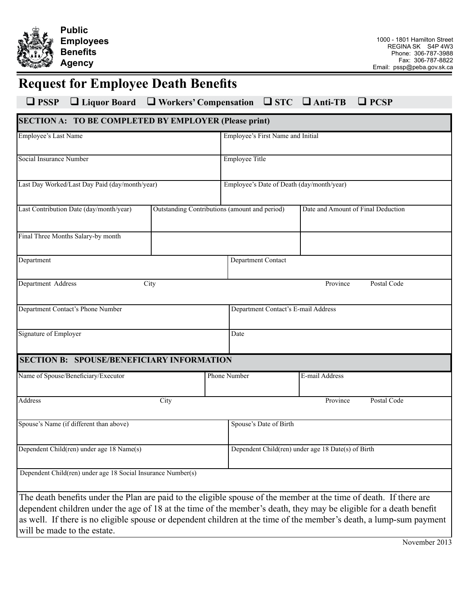

## **Request for Employee Death Benefits**

## **PSSP Liquor Board Workers' Compensation STC Anti-TB PCSP**

| <b>SECTION A: TO BE COMPLETED BY EMPLOYER (Please print)</b> |      |                                               |                                                                                                                                                                                                                                                                                                                                                                 |  |  |
|--------------------------------------------------------------|------|-----------------------------------------------|-----------------------------------------------------------------------------------------------------------------------------------------------------------------------------------------------------------------------------------------------------------------------------------------------------------------------------------------------------------------|--|--|
| <b>Employee's Last Name</b>                                  |      | Employee's First Name and Initial             |                                                                                                                                                                                                                                                                                                                                                                 |  |  |
| Social Insurance Number                                      |      | Employee Title                                |                                                                                                                                                                                                                                                                                                                                                                 |  |  |
| Last Day Worked/Last Day Paid (day/month/year)               |      | Employee's Date of Death (day/month/year)     |                                                                                                                                                                                                                                                                                                                                                                 |  |  |
| Last Contribution Date (day/month/year)                      |      | Outstanding Contributions (amount and period) | Date and Amount of Final Deduction                                                                                                                                                                                                                                                                                                                              |  |  |
| Final Three Months Salary-by month                           |      |                                               |                                                                                                                                                                                                                                                                                                                                                                 |  |  |
| Department                                                   |      | Department Contact                            |                                                                                                                                                                                                                                                                                                                                                                 |  |  |
| Department Address                                           | City |                                               | Postal Code<br>Province                                                                                                                                                                                                                                                                                                                                         |  |  |
| Department Contact's Phone Number                            |      |                                               | Department Contact's E-mail Address                                                                                                                                                                                                                                                                                                                             |  |  |
| Signature of Employer                                        |      | Date                                          |                                                                                                                                                                                                                                                                                                                                                                 |  |  |
| <b>SECTION B: SPOUSE/BENEFICIARY INFORMATION</b>             |      |                                               |                                                                                                                                                                                                                                                                                                                                                                 |  |  |
| Name of Spouse/Beneficiary/Executor                          |      | Phone Number                                  | E-mail Address                                                                                                                                                                                                                                                                                                                                                  |  |  |
| Address                                                      | City |                                               | Postal Code<br>Province                                                                                                                                                                                                                                                                                                                                         |  |  |
| Spouse's Name (if different than above)                      |      |                                               | Spouse's Date of Birth                                                                                                                                                                                                                                                                                                                                          |  |  |
| Dependent Child(ren) under age 18 Name(s)                    |      |                                               | Dependent Child(ren) under age 18 Date(s) of Birth                                                                                                                                                                                                                                                                                                              |  |  |
| Dependent Child(ren) under age 18 Social Insurance Number(s) |      |                                               |                                                                                                                                                                                                                                                                                                                                                                 |  |  |
| will be made to the estate.                                  |      |                                               | The death benefits under the Plan are paid to the eligible spouse of the member at the time of death. If there are<br>dependent children under the age of 18 at the time of the member's death, they may be eligible for a death benefit<br>as well. If there is no eligible spouse or dependent children at the time of the member's death, a lump-sum payment |  |  |

November 2013